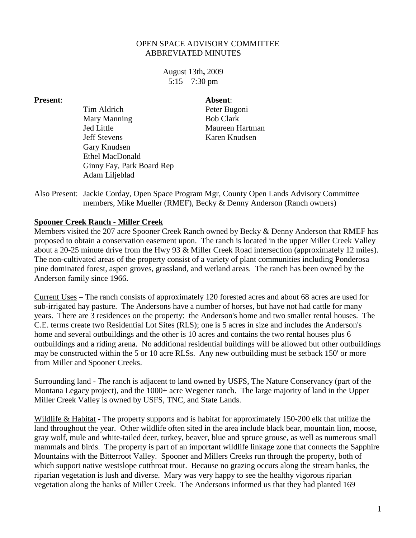## OPEN SPACE ADVISORY COMMITTEE ABBREVIATED MINUTES

August 13th**,** 2009  $5:15 - 7:30$  pm

**Present**: **Absent**:

Tim Aldrich Peter Bugoni Mary Manning Bob Clark Jed Little Maureen Hartman Jeff Stevens Karen Knudsen Gary Knudsen Ethel MacDonald Ginny Fay, Park Board Rep Adam Liljeblad

Also Present: Jackie Corday, Open Space Program Mgr, County Open Lands Advisory Committee members, Mike Mueller (RMEF), Becky & Denny Anderson (Ranch owners)

## **Spooner Creek Ranch - Miller Creek**

Members visited the 207 acre Spooner Creek Ranch owned by Becky & Denny Anderson that RMEF has proposed to obtain a conservation easement upon. The ranch is located in the upper Miller Creek Valley about a 20-25 minute drive from the Hwy 93 & Miller Creek Road intersection (approximately 12 miles). The non-cultivated areas of the property consist of a variety of plant communities including Ponderosa pine dominated forest, aspen groves, grassland, and wetland areas. The ranch has been owned by the Anderson family since 1966.

Current Uses – The ranch consists of approximately 120 forested acres and about 68 acres are used for sub-irrigated hay pasture. The Andersons have a number of horses, but have not had cattle for many years. There are 3 residences on the property: the Anderson's home and two smaller rental houses. The C.E. terms create two Residential Lot Sites (RLS); one is 5 acres in size and includes the Anderson's home and several outbuildings and the other is 10 acres and contains the two rental houses plus 6 outbuildings and a riding arena. No additional residential buildings will be allowed but other outbuildings may be constructed within the 5 or 10 acre RLSs. Any new outbuilding must be setback 150' or more from Miller and Spooner Creeks.

Surrounding land - The ranch is adjacent to land owned by USFS, The Nature Conservancy (part of the Montana Legacy project), and the 1000+ acre Wegener ranch. The large majority of land in the Upper Miller Creek Valley is owned by USFS, TNC, and State Lands.

Wildlife & Habitat - The property supports and is habitat for approximately 150-200 elk that utilize the land throughout the year. Other wildlife often sited in the area include black bear, mountain lion, moose, gray wolf, mule and white-tailed deer, turkey, beaver, blue and spruce grouse, as well as numerous small mammals and birds. The property is part of an important wildlife linkage zone that connects the Sapphire Mountains with the Bitterroot Valley. Spooner and Millers Creeks run through the property, both of which support native westslope cutthroat trout. Because no grazing occurs along the stream banks, the riparian vegetation is lush and diverse. Mary was very happy to see the healthy vigorous riparian vegetation along the banks of Miller Creek. The Andersons informed us that they had planted 169